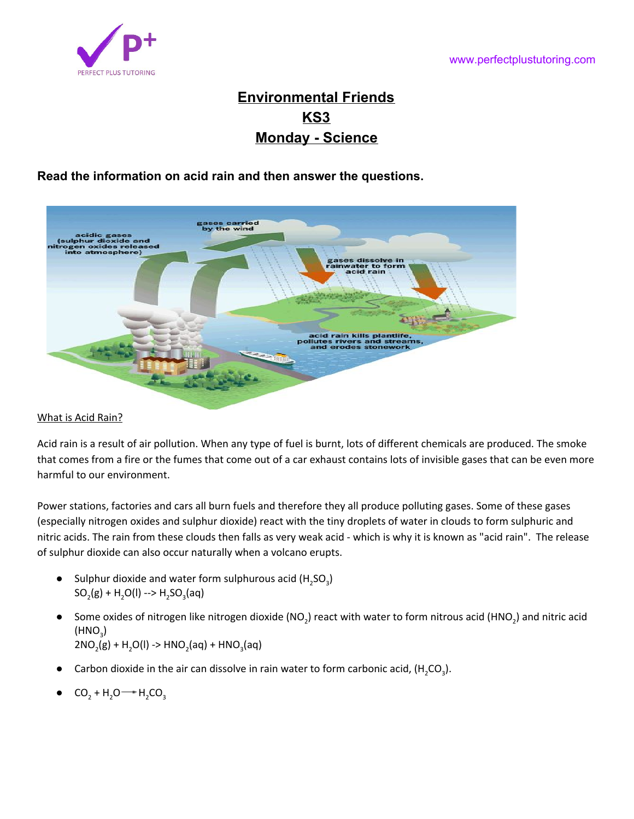

# **Environmental Friends KS3 Monday - Science**

**Read the information on acid rain and then answer the questions.**



## What is Acid Rain?

Acid rain is a result of air pollution. When any type of fuel is burnt, lots of different chemicals are produced. The smoke that comes from a fire or the fumes that come out of a car exhaust contains lots of invisible gases that can be even more harmful to our environment.

Power stations, factories and cars all burn fuels and therefore they all produce polluting gases. Some of these gases (especially nitrogen oxides and sulphur dioxide) react with the tiny droplets of water in clouds to form sulphuric and nitric acids. The rain from these clouds then falls as very weak acid - which is why it is known as "acid rain". The release of sulphur dioxide can also occur naturally when a volcano erupts.

- Sulphur dioxide and water form sulphurous acid ( $H_2SO_3$ )  $SO_2(g) + H_2O(I) \rightarrow H_2SO_3(aq)$
- Some oxides of nitrogen like nitrogen dioxide (NO<sub>2</sub>) react with water to form nitrous acid (HNO<sub>2</sub>) and nitric acid  $(\mathsf{HNO}_3)$  $2NO_2(g) + H_2O(I) \rightarrow HNO_2(aq) + HNO_3(aq)$
- Carbon dioxide in the air can dissolve in rain water to form carbonic acid,  $(H_2CO_3)$ .
- $CO_2 + H_2O \rightarrow H_2CO_3$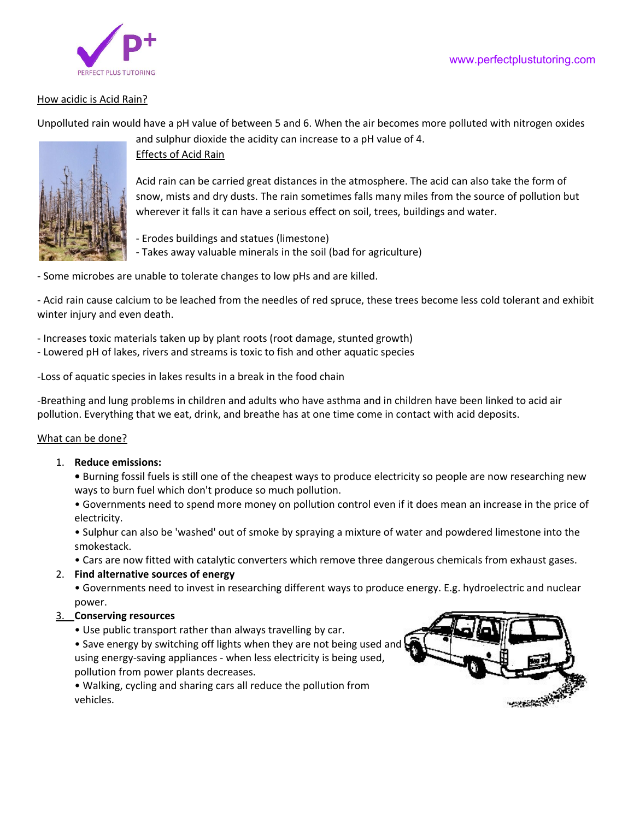### www.perfectplustutoring.com



#### How acidic is Acid Rain?

Unpolluted rain would have a pH value of between 5 and 6. When the air becomes more polluted with nitrogen oxides



#### Effects of Acid Rain

Acid rain can be carried great distances in the atmosphere. The acid can also take the form of snow, mists and dry dusts. The rain sometimes falls many miles from the source of pollution but wherever it falls it can have a serious effect on soil, trees, buildings and water.

- Erodes buildings and statues (limestone)

- Takes away valuable minerals in the soil (bad for agriculture)

and sulphur dioxide the acidity can increase to a pH value of 4.

- Some microbes are unable to tolerate changes to low pHs and are killed.

- Acid rain cause calcium to be leached from the needles of red spruce, these trees become less cold tolerant and exhibit winter injury and even death.

- Increases toxic materials taken up by plant roots (root damage, stunted growth)

- Lowered pH of lakes, rivers and streams is toxic to fish and other aquatic species

-Loss of aquatic species in lakes results in a break in the food chain

-Breathing and lung problems in children and adults who have asthma and in children have been linked to acid air pollution. Everything that we eat, drink, and breathe has at one time come in contact with acid deposits.

#### What can be done?

#### 1. **Reduce emissions:**

**•** Burning fossil fuels is still one of the cheapest ways to produce electricity so people are now researching new ways to burn fuel which don't produce so much pollution.

• Governments need to spend more money on pollution control even if it does mean an increase in the price of electricity.

• Sulphur can also be 'washed' out of smoke by spraying a mixture of water and powdered limestone into the smokestack.

• Cars are now fitted with catalytic converters which remove three dangerous chemicals from exhaust gases.

#### 2. **Find alternative sources of energy**

• Governments need to invest in researching different ways to produce energy. E.g. hydroelectric and nuclear power.

#### 3. **Conserving resources**

• Use public transport rather than always travelling by car.

• Save energy by switching off lights when they are not being used and using energy-saving appliances - when less electricity is being used, pollution from power plants decreases.

• Walking, cycling and sharing cars all reduce the pollution from vehicles.